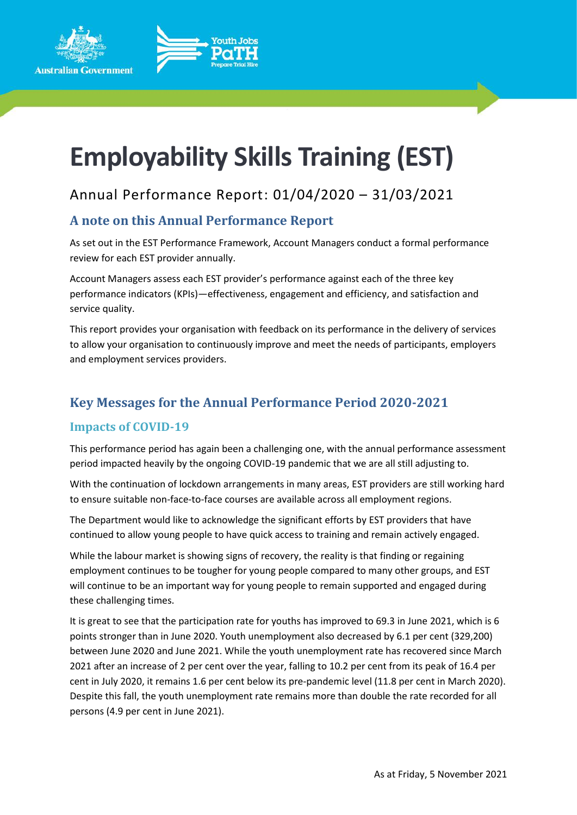



# **Employability Skills Training (EST)**

# Annual Performance Report: 01/04/2020 – 31/03/2021

## **A note on this Annual Performance Report**

As set out in the EST Performance Framework, Account Managers conduct a formal performance review for each EST provider annually.

Account Managers assess each EST provider's performance against each of the three key performance indicators (KPIs)—effectiveness, engagement and efficiency, and satisfaction and service quality.

This report provides your organisation with feedback on its performance in the delivery of services to allow your organisation to continuously improve and meet the needs of participants, employers and employment services providers.

# **Key Messages for the Annual Performance Period 2020-2021**

## **Impacts of COVID-19**

This performance period has again been a challenging one, with the annual performance assessment period impacted heavily by the ongoing COVID-19 pandemic that we are all still adjusting to.

With the continuation of lockdown arrangements in many areas, EST providers are still working hard to ensure suitable non-face-to-face courses are available across all employment regions.

The Department would like to acknowledge the significant efforts by EST providers that have continued to allow young people to have quick access to training and remain actively engaged.

While the labour market is showing signs of recovery, the reality is that finding or regaining employment continues to be tougher for young people compared to many other groups, and EST will continue to be an important way for young people to remain supported and engaged during these challenging times.

It is great to see that the participation rate for youths has improved to 69.3 in June 2021, which is 6 points stronger than in June 2020. Youth unemployment also decreased by 6.1 per cent (329,200) between June 2020 and June 2021. While the youth unemployment rate has recovered since March 2021 after an increase of 2 per cent over the year, falling to 10.2 per cent from its peak of 16.4 per cent in July 2020, it remains 1.6 per cent below its pre-pandemic level (11.8 per cent in March 2020). Despite this fall, the youth unemployment rate remains more than double the rate recorded for all persons (4.9 per cent in June 2021).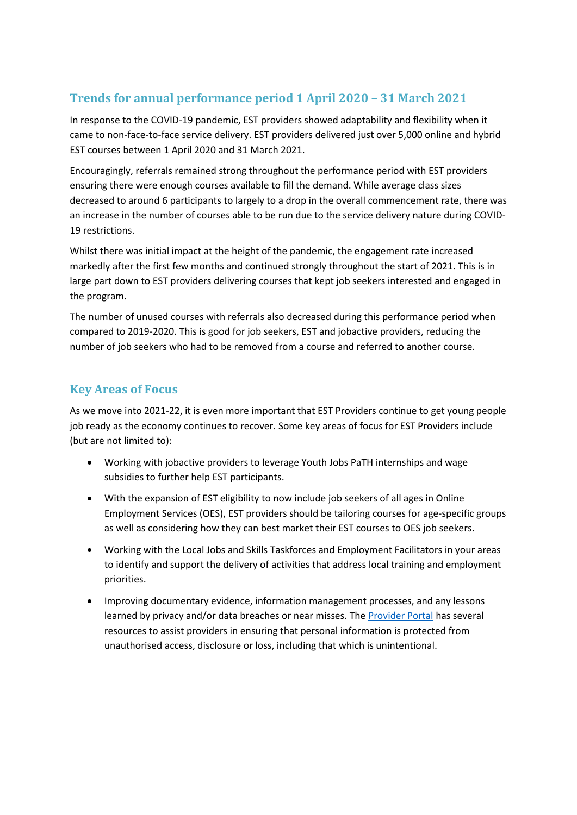## **Trends for annual performance period 1 April 2020 – 31 March 2021**

In response to the COVID-19 pandemic, EST providers showed adaptability and flexibility when it came to non-face-to-face service delivery. EST providers delivered just over 5,000 online and hybrid EST courses between 1 April 2020 and 31 March 2021.

Encouragingly, referrals remained strong throughout the performance period with EST providers ensuring there were enough courses available to fill the demand. While average class sizes decreased to around 6 participants to largely to a drop in the overall commencement rate, there was an increase in the number of courses able to be run due to the service delivery nature during COVID-19 restrictions.

Whilst there was initial impact at the height of the pandemic, the engagement rate increased markedly after the first few months and continued strongly throughout the start of 2021. This is in large part down to EST providers delivering courses that kept job seekers interested and engaged in the program.

The number of unused courses with referrals also decreased during this performance period when compared to 2019-2020. This is good for job seekers, EST and jobactive providers, reducing the number of job seekers who had to be removed from a course and referred to another course.

## **Key Areas of Focus**

As we move into 2021-22, it is even more important that EST Providers continue to get young people job ready as the economy continues to recover. Some key areas of focus for EST Providers include (but are not limited to):

- Working with jobactive providers to leverage Youth Jobs PaTH internships and wage subsidies to further help EST participants.
- With the expansion of EST eligibility to now include job seekers of all ages in Online Employment Services (OES), EST providers should be tailoring courses for age-specific groups as well as considering how they can best market their EST courses to OES job seekers.
- Working with the Local Jobs and Skills Taskforces and Employment Facilitators in your areas to identify and support the delivery of activities that address local training and employment priorities.
- Improving documentary evidence, information management processes, and any lessons learned by privacy and/or data breaches or near misses. The [Provider Portal](https://ecsnaccess.gov.au/ProviderPortal/EST/ContractualInformation/Pages/Privacy%20and%20Records%20Management%20Information%20for%20Providers.aspx) has several resources to assist providers in ensuring that personal information is protected from unauthorised access, disclosure or loss, including that which is unintentional.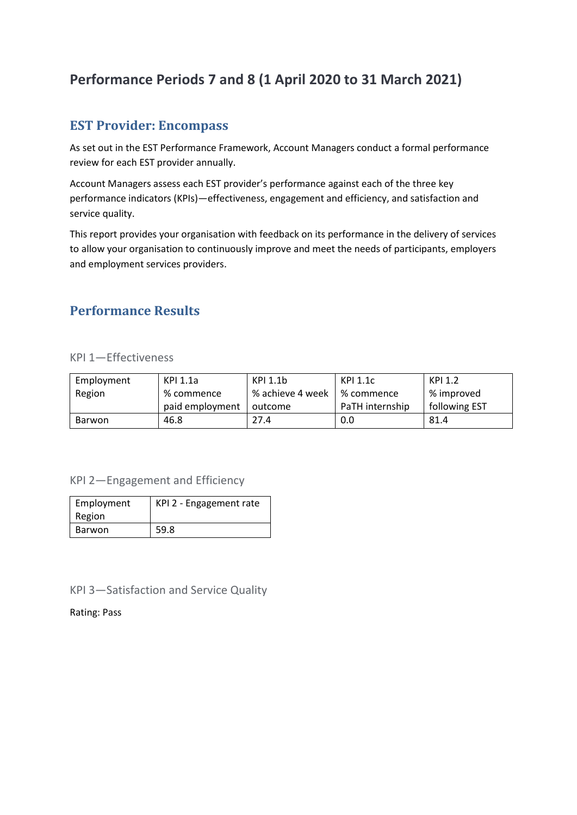# **Performance Periods 7 and 8 (1 April 2020 to 31 March 2021)**

## **EST Provider: Encompass**

As set out in the EST Performance Framework, Account Managers conduct a formal performance review for each EST provider annually.

Account Managers assess each EST provider's performance against each of the three key performance indicators (KPIs)—effectiveness, engagement and efficiency, and satisfaction and service quality.

This report provides your organisation with feedback on its performance in the delivery of services to allow your organisation to continuously improve and meet the needs of participants, employers and employment services providers.

## **Performance Results**

#### KPI 1—Effectiveness

| Employment | KPI 1.1a        | KPI 1.1b         | KPI 1.1c        | KPI 1.2       |
|------------|-----------------|------------------|-----------------|---------------|
| Region     | % commence      | % achieve 4 week | % commence      | % improved    |
|            | paid employment | outcome          | PaTH internship | following EST |
| Barwon     | 46.8            | 27.4             | 0.0             | 81.4          |

#### KPI 2—Engagement and Efficiency

| Employment | KPI 2 - Engagement rate |  |
|------------|-------------------------|--|
| Region     |                         |  |
| Barwon     | 59.8                    |  |

#### KPI 3—Satisfaction and Service Quality

Rating: Pass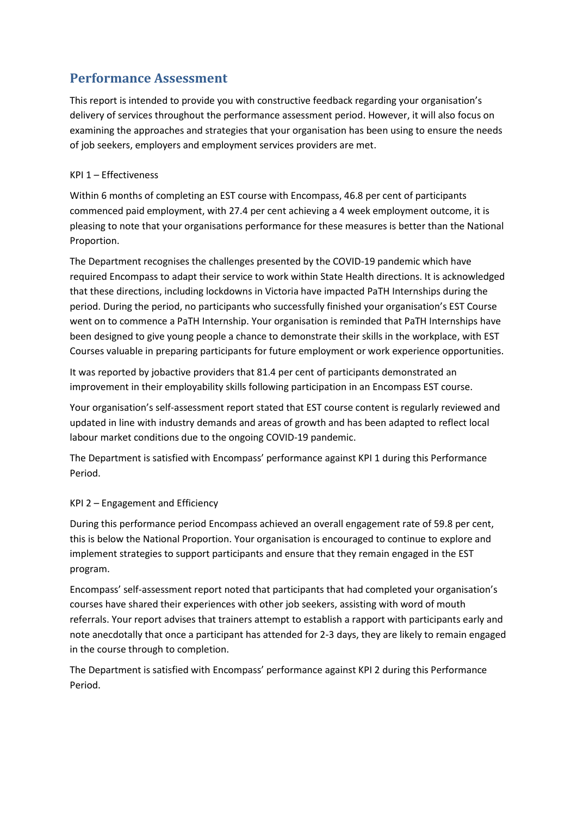## **Performance Assessment**

This report is intended to provide you with constructive feedback regarding your organisation's delivery of services throughout the performance assessment period. However, it will also focus on examining the approaches and strategies that your organisation has been using to ensure the needs of job seekers, employers and employment services providers are met.

#### KPI 1 – Effectiveness

Within 6 months of completing an EST course with Encompass, 46.8 per cent of participants commenced paid employment, with 27.4 per cent achieving a 4 week employment outcome, it is pleasing to note that your organisations performance for these measures is better than the National Proportion.

The Department recognises the challenges presented by the COVID-19 pandemic which have required Encompass to adapt their service to work within State Health directions. It is acknowledged that these directions, including lockdowns in Victoria have impacted PaTH Internships during the period. During the period, no participants who successfully finished your organisation's EST Course went on to commence a PaTH Internship. Your organisation is reminded that PaTH Internships have been designed to give young people a chance to demonstrate their skills in the workplace, with EST Courses valuable in preparing participants for future employment or work experience opportunities.

It was reported by jobactive providers that 81.4 per cent of participants demonstrated an improvement in their employability skills following participation in an Encompass EST course.

Your organisation's self-assessment report stated that EST course content is regularly reviewed and updated in line with industry demands and areas of growth and has been adapted to reflect local labour market conditions due to the ongoing COVID-19 pandemic.

The Department is satisfied with Encompass' performance against KPI 1 during this Performance Period.

#### KPI 2 – Engagement and Efficiency

During this performance period Encompass achieved an overall engagement rate of 59.8 per cent, this is below the National Proportion. Your organisation is encouraged to continue to explore and implement strategies to support participants and ensure that they remain engaged in the EST program.

Encompass' self-assessment report noted that participants that had completed your organisation's courses have shared their experiences with other job seekers, assisting with word of mouth referrals. Your report advises that trainers attempt to establish a rapport with participants early and note anecdotally that once a participant has attended for 2-3 days, they are likely to remain engaged in the course through to completion.

The Department is satisfied with Encompass' performance against KPI 2 during this Performance Period.